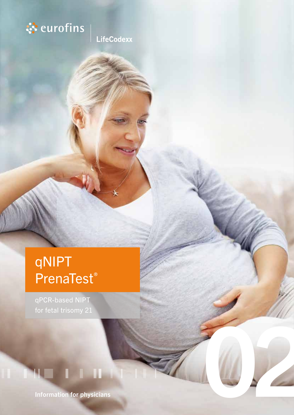

**LifeCodexx** 

# qNIPT PrenaTest ®

qPCR-based NIPT

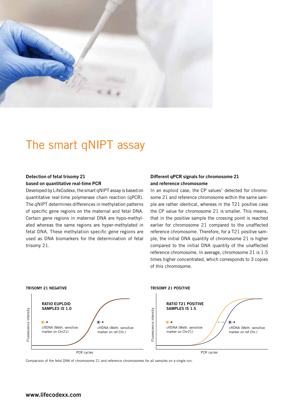

## The smart qNIPT assay

### Detection of fetal trisomy 21 based on quantitative real-time PCR

Developed by LifeCodexx, the smart qNIPT assay is based on quantitative real-time polymerase chain reaction (qPCR). The qNIPT determines differences in methylation patterns of specific gene regions on the maternal and fetal DNA. Certain gene regions in maternal DNA are hypo-methylated whereas the same regions are hyper-methylated in fetal DNA. These methylation specific gene regions are used as DNA biomarkers for the determination of fetal trisomy 21.

## Different qPCR signals for chromosome 21 and reference chromosome

In an euploid case, the CP values<sup>1</sup> detected for chromosome 21 and reference chromosome within the same sample are rather identical, whereas in the T21 positive case the CP value for chromosome 21 is smaller. This means, that in the positive sample the crossing point is reached earlier for chromosome 21 compared to the unaffected reference chromosome. Therefore, for a T21 positive sample, the initial DNA quantity of chromosome 21 is higher compared to the initial DNA quantity of the unaffected reference chromosome. In average, chromosome 21 is 1.5 times higher concentrated, which corresponds to 3 copies of this chromosome.



Comparison of the fetal DNA of chromosome 21 and reference chromosomes for all samples on a single run.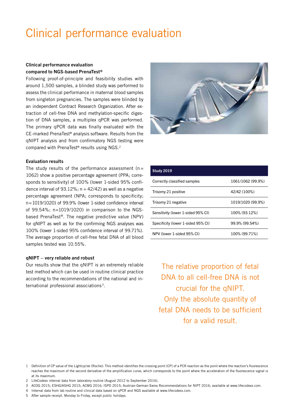## Clinical performance evaluation

### Clinical performance evaluation compared to NGS-based PrenaTest®

Following proof-of-principle and feasibility studies with around 1,500 samples, a blinded study was performed to assess the clinical performance in maternal blood samples from singleton pregnancies. The samples were blinded by an independent Contract Research Organization. After extraction of cell-free DNA and methylation-specific digestion of DNA samples, a multiplex qPCR was performed. The primary qPCR data was finally evaluated with the CE-marked PrenaTest® analysis software. Results from the qNIPT analysis and from confirmatory NGS testing were compared with PrenaTest® results using NGS.2



### Evaluation results

The study results of the performance assessment ( $n =$ 1062) show a positive percentage agreement (PPA; corresponds to sensitivity) of 100% (lower 1-sided 95% confidence interval of 93.12%;  $n = 42/42$ ) as well as a negative percentage agreement (NPA; corresponds to specificity; n=1019/1020) of 99.9% (lower 1-sided confidence interval of 99.54%; n=1019/1020) in comparison to the NGSbased PrenaTest®. The negative predictive value (NPV) for qNIPT as well as for the confirming NGS analyses was 100% (lower 1-sided 95% confidence interval of 99.71%). The average proportion of cell-free fetal DNA of all blood samples tested was 10.55%.

#### qNIPT – very reliable and robust

Our results show that the qNIPT is an extremely reliable test method which can be used in routine clinical practice according to the recommendations of the national and international professional associations 3.

| <b>Study 2019</b>                  |                   |
|------------------------------------|-------------------|
| Correctly classified samples       | 1061/1062 (99.9%) |
| Trisomy 21 positive                | 42/42 (100%)      |
| Trisomy 21 negative                | 1019/1020 (99.9%) |
| Sensitivity (lower 1-sided 95% CI) | 100% (93.12%)     |
| Specificity (lower 1-sided 95% CI) | 99.9% (99.54%)    |
| NPV (lower 1-sided 95% CI)         | 100% (99.71%)     |

The relative proportion of fetal DNA to all cell-free DNA is not crucial for the qNIPT. Only the absolute quantity of fetal DNA needs to be sufficient for a valid result.

- 4 Internal data from lab routine and clinical data based on qPCR and NGS available at www.lifecodexx.com.
- 5 After sample receipt. Monday to Friday, except public holidays.

<sup>1</sup> Definition of CP value of the Lightcycler (Roche): This method identifies the crossing point (CP) of a PCR reaction as the point where the reaction's fluorescence reaches the maximum of the second derivative of the amplification curve, which corresponds to the point where the acceleration of the fluorescence signal is at its maximum.

<sup>2</sup> LifeCodexx internal data from laboratory routine (August 2012 to September 2016).

<sup>3</sup> ACOG 2015; ESHG/ASHG 2015; ACMG 2016; ISPD 2015; Austrian-German-Swiss Recommendations for NIPT 2016; available at www.lifecodexx.com.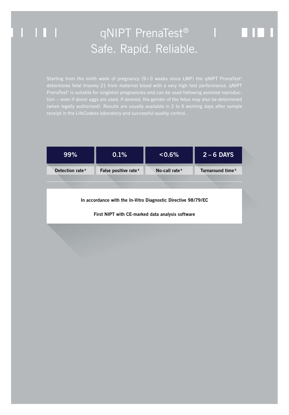## qNIPT PrenaTest® | | | Safe. Rapid. Reliable.

Starting from the ninth week of pregnancy  $(9+0$  weeks since LMP) the qNIPT PrenaTest® PrenaTest® is suitable for singleton pregnancies and can be used following assisted reproduction – even if donor eggs are used. If desired, the gender of the fetus may also be determined (when legally authorised). Results are usually available in 2 to 6 working days after sample

 $\Box$ 

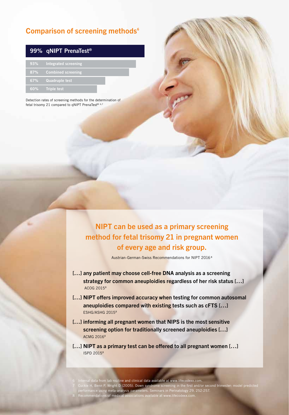## Comparison of screening methods<sup>6</sup>

|        | 99% qNIPT PrenaTest <sup>®</sup> |
|--------|----------------------------------|
| 93%    | Integrated screening             |
| 87%    | <b>Combined screening</b>        |
| 67%    | <b>Quadruple test</b>            |
| $60\%$ | <b>Triple test</b>               |

Detection rates of screening methods for the determination of fetal trisomy 21 compared to qNIPT PrenaTest® 6,7

> NIPT can be used as a primary screening method for fetal trisomy 21 in pregnant women of every age and risk group.

> > Austrian-German-Swiss Recommendations for NIPT 20168

- [...] any patient may choose cell-free DNA analysis as a screening strategy for common aneuploidies regardless of her risk status […] ACOG 20158
- [...] NIPT offers improved accuracy when testing for common autosomal aneuploidies compared with existing tests such as cFTS […] ESHG/ASHG 20158
- [...] informing all pregnant women that NIPS is the most sensitive screening option for traditionally screened aneuploidies […] ACMG 20168
- [...] NIPT as a primary test can be offered to all pregnant women [...] ISPD 20158

 Internal data from lab routine and clinical data available at www.lifecodexx.com. Cuckle H, Benn P, Wright D (2005). Down syndrome screening in the first and/or second trimester: model predicted performance using meta-analysis parameters. Seminars in Perinatology 29, 252-257. Recommendations of medical associations available at www.lifecodexx.com.